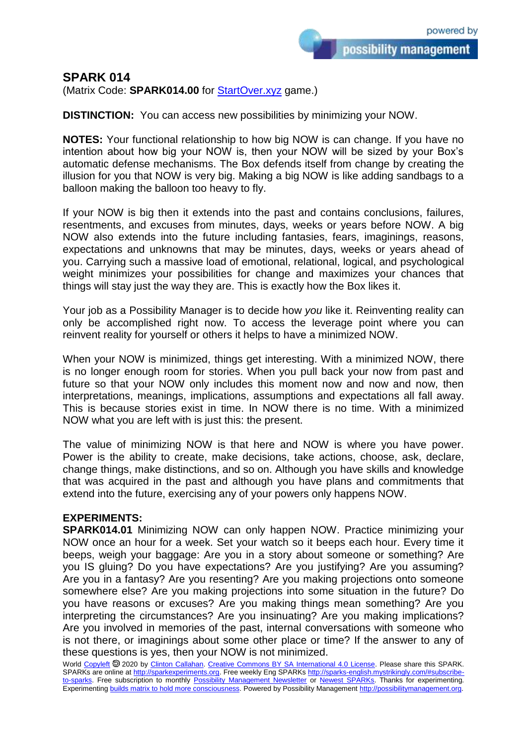possibility management

## **SPARK 014**

(Matrix Code: **SPARK014.00** for **StartOver.xyz** game.)

**DISTINCTION:** You can access new possibilities by minimizing your NOW.

**NOTES:** Your functional relationship to how big NOW is can change. If you have no intention about how big your NOW is, then your NOW will be sized by your Box's automatic defense mechanisms. The Box defends itself from change by creating the illusion for you that NOW is very big. Making a big NOW is like adding sandbags to a balloon making the balloon too heavy to fly.

If your NOW is big then it extends into the past and contains conclusions, failures, resentments, and excuses from minutes, days, weeks or years before NOW. A big NOW also extends into the future including fantasies, fears, imaginings, reasons, expectations and unknowns that may be minutes, days, weeks or years ahead of you. Carrying such a massive load of emotional, relational, logical, and psychological weight minimizes your possibilities for change and maximizes your chances that things will stay just the way they are. This is exactly how the Box likes it.

Your job as a Possibility Manager is to decide how *you* like it. Reinventing reality can only be accomplished right now. To access the leverage point where you can reinvent reality for yourself or others it helps to have a minimized NOW.

When your NOW is minimized, things get interesting. With a minimized NOW, there is no longer enough room for stories. When you pull back your now from past and future so that your NOW only includes this moment now and now and now, then interpretations, meanings, implications, assumptions and expectations all fall away. This is because stories exist in time. In NOW there is no time. With a minimized NOW what you are left with is just this: the present.

The value of minimizing NOW is that here and NOW is where you have power. Power is the ability to create, make decisions, take actions, choose, ask, declare, change things, make distinctions, and so on. Although you have skills and knowledge that was acquired in the past and although you have plans and commitments that extend into the future, exercising any of your powers only happens NOW.

## **EXPERIMENTS:**

**SPARK014.01** Minimizing NOW can only happen NOW. Practice minimizing your NOW once an hour for a week. Set your watch so it beeps each hour. Every time it beeps, weigh your baggage: Are you in a story about someone or something? Are you IS gluing? Do you have expectations? Are you justifying? Are you assuming? Are you in a fantasy? Are you resenting? Are you making projections onto someone somewhere else? Are you making projections into some situation in the future? Do you have reasons or excuses? Are you making things mean something? Are you interpreting the circumstances? Are you insinuating? Are you making implications? Are you involved in memories of the past, internal conversations with someone who is not there, or imaginings about some other place or time? If the answer to any of these questions is yes, then your NOW is not minimized.